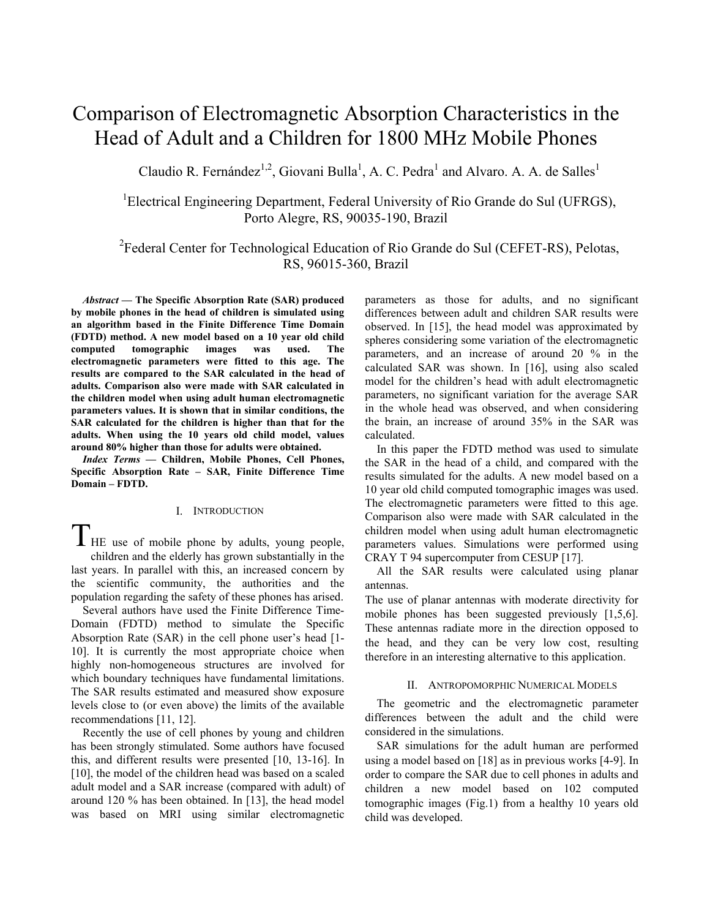# Comparison of Electromagnetic Absorption Characteristics in the Head of Adult and a Children for 1800 MHz Mobile Phones

Claudio R. Fernández<sup>1,2</sup>, Giovani Bulla<sup>1</sup>, A. C. Pedra<sup>1</sup> and Alvaro. A. A. de Salles<sup>1</sup>

<sup>1</sup>Electrical Engineering Department, Federal University of Rio Grande do Sul (UFRGS), Porto Alegre, RS, 90035-190, Brazil

### <sup>2</sup> Federal Center for Technological Education of Rio Grande do Sul (CEFET-RS), Pelotas, RS, 96015-360, Brazil

*Abstract* **— The Specific Absorption Rate (SAR) produced by mobile phones in the head of children is simulated using an algorithm based in the Finite Difference Time Domain (FDTD) method. A new model based on a 10 year old child computed tomographic images was used. The electromagnetic parameters were fitted to this age. The results are compared to the SAR calculated in the head of adults. Comparison also were made with SAR calculated in the children model when using adult human electromagnetic parameters values. It is shown that in similar conditions, the SAR calculated for the children is higher than that for the adults. When using the 10 years old child model, values around 80% higher than those for adults were obtained.** 

*Index Terms* **— Children, Mobile Phones, Cell Phones, Specific Absorption Rate – SAR, Finite Difference Time Domain – FDTD.** 

### I. INTRODUCTION

I HE use of mobile phone by adults, young people, children and the elderly has grown substantially in the last years. In parallel with this, an increased concern by the scientific community, the authorities and the population regarding the safety of these phones has arised.

Several authors have used the Finite Difference Time-Domain (FDTD) method to simulate the Specific Absorption Rate (SAR) in the cell phone user's head [1- 10]. It is currently the most appropriate choice when highly non-homogeneous structures are involved for which boundary techniques have fundamental limitations. The SAR results estimated and measured show exposure levels close to (or even above) the limits of the available recommendations [11, 12].

Recently the use of cell phones by young and children has been strongly stimulated. Some authors have focused this, and different results were presented [10, 13-16]. In [10], the model of the children head was based on a scaled adult model and a SAR increase (compared with adult) of around 120 % has been obtained. In [13], the head model was based on MRI using similar electromagnetic

parameters as those for adults, and no significant differences between adult and children SAR results were observed. In [15], the head model was approximated by spheres considering some variation of the electromagnetic parameters, and an increase of around 20 % in the calculated SAR was shown. In [16], using also scaled model for the children's head with adult electromagnetic parameters, no significant variation for the average SAR in the whole head was observed, and when considering the brain, an increase of around 35% in the SAR was calculated.

In this paper the FDTD method was used to simulate the SAR in the head of a child, and compared with the results simulated for the adults. A new model based on a 10 year old child computed tomographic images was used. The electromagnetic parameters were fitted to this age. Comparison also were made with SAR calculated in the children model when using adult human electromagnetic parameters values. Simulations were performed using CRAY T 94 supercomputer from CESUP [17].

All the SAR results were calculated using planar antennas.

The use of planar antennas with moderate directivity for mobile phones has been suggested previously [1,5,6]. These antennas radiate more in the direction opposed to the head, and they can be very low cost, resulting therefore in an interesting alternative to this application.

### II. ANTROPOMORPHIC NUMERICAL MODELS

The geometric and the electromagnetic parameter differences between the adult and the child were considered in the simulations.

SAR simulations for the adult human are performed using a model based on [18] as in previous works [4-9]. In order to compare the SAR due to cell phones in adults and children a new model based on 102 computed tomographic images (Fig.1) from a healthy 10 years old child was developed.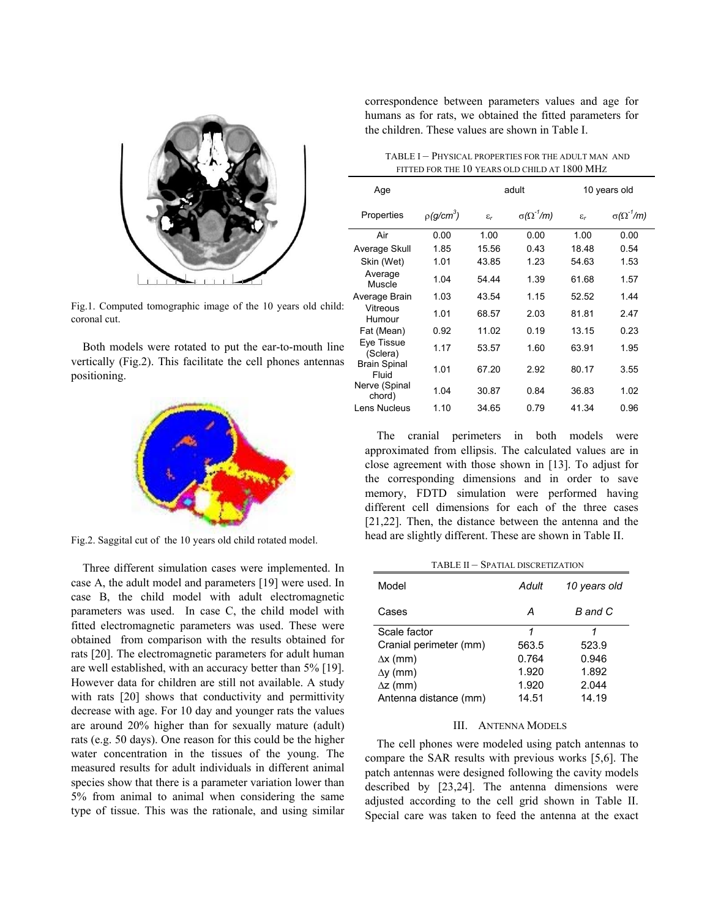

Fig.1. Computed tomographic image of the 10 years old child: coronal cut.

Both models were rotated to put the ear-to-mouth line vertically (Fig.2). This facilitate the cell phones antennas positioning.



Fig.2. Saggital cut of the 10 years old child rotated model.

Three different simulation cases were implemented. In case A, the adult model and parameters [19] were used. In case B, the child model with adult electromagnetic parameters was used. In case C, the child model with fitted electromagnetic parameters was used. These were obtained from comparison with the results obtained for rats [20]. The electromagnetic parameters for adult human are well established, with an accuracy better than 5% [19]. However data for children are still not available. A study with rats [20] shows that conductivity and permittivity decrease with age. For 10 day and younger rats the values are around 20% higher than for sexually mature (adult) rats (e.g. 50 days). One reason for this could be the higher water concentration in the tissues of the young. The measured results for adult individuals in different animal species show that there is a parameter variation lower than 5% from animal to animal when considering the same type of tissue. This was the rationale, and using similar correspondence between parameters values and age for humans as for rats, we obtained the fitted parameters for the children. These values are shown in Table I.

| TABLE I - PHYSICAL PROPERTIES FOR THE ADULT MAN AND |  |
|-----------------------------------------------------|--|
| FITTED FOR THE 10 YEARS OLD CHILD AT 1800 MHZ       |  |

| Age                          |                          | adult           |                      | 10 years old    |                      |
|------------------------------|--------------------------|-----------------|----------------------|-----------------|----------------------|
| Properties                   | $p$ (q/cm <sup>3</sup> ) | $\varepsilon_r$ | $\sigma(\Omega^2/m)$ | $\varepsilon_r$ | $\sigma(\Omega^2/m)$ |
| Air                          | 0.00                     | 1.00            | 0.00                 | 1.00            | 0.00                 |
| Average Skull                | 1.85                     | 15.56           | 0.43                 | 18.48           | 0.54                 |
| Skin (Wet)                   | 1.01                     | 43.85           | 1.23                 | 54.63           | 1.53                 |
| Average<br>Muscle            | 1.04                     | 54.44           | 1.39                 | 61.68           | 1.57                 |
| Average Brain                | 1.03                     | 43.54           | 1.15                 | 52.52           | 1.44                 |
| Vitreous<br>Humour           | 1.01                     | 68.57           | 2.03                 | 81.81           | 2.47                 |
| Fat (Mean)                   | 0.92                     | 11.02           | 0.19                 | 13.15           | 0.23                 |
| Eye Tissue<br>(Sclera)       | 1.17                     | 53.57           | 1.60                 | 63.91           | 1.95                 |
| <b>Brain Spinal</b><br>Fluid | 1.01                     | 67.20           | 2.92                 | 80.17           | 3.55                 |
| Nerve (Spinal<br>chord)      | 1.04                     | 30.87           | 0.84                 | 36.83           | 1.02                 |
| Lens Nucleus                 | 1.10                     | 34.65           | 0.79                 | 41.34           | 0.96                 |

The cranial perimeters in both models were approximated from ellipsis. The calculated values are in close agreement with those shown in [13]. To adjust for the corresponding dimensions and in order to save memory, FDTD simulation were performed having different cell dimensions for each of the three cases [21,22]. Then, the distance between the antenna and the head are slightly different. These are shown in Table II.

TABLE II – SPATIAL DISCRETIZATION

| Model                  | Adult | 10 years old |
|------------------------|-------|--------------|
| Cases                  | А     | B and C      |
| Scale factor           | 1     | 1            |
| Cranial perimeter (mm) | 563.5 | 523.9        |
| $\Delta x$ (mm)        | 0.764 | 0.946        |
| $\Delta y$ (mm)        | 1.920 | 1.892        |
| $\Delta z$ (mm)        | 1.920 | 2.044        |
| Antenna distance (mm)  | 14.51 | 14.19        |

### III. ANTENNA MODELS

The cell phones were modeled using patch antennas to compare the SAR results with previous works [5,6]. The patch antennas were designed following the cavity models described by [23,24]. The antenna dimensions were adjusted according to the cell grid shown in Table II. Special care was taken to feed the antenna at the exact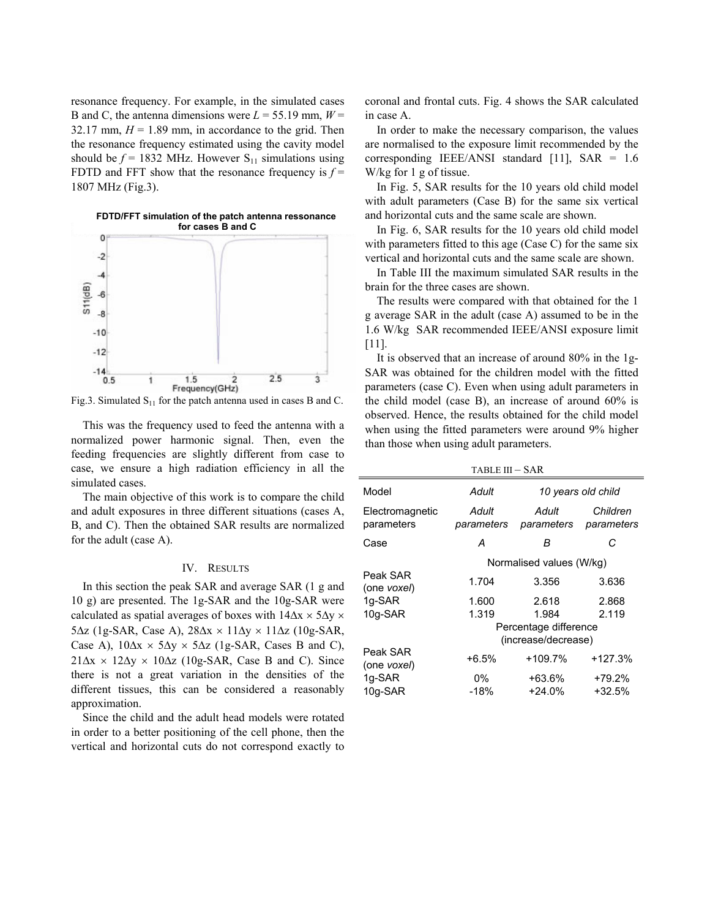resonance frequency. For example, in the simulated cases B and C, the antenna dimensions were  $L = 55.19$  mm,  $W =$ 32.17 mm,  $H = 1.89$  mm, in accordance to the grid. Then the resonance frequency estimated using the cavity model should be  $f = 1832$  MHz. However S<sub>11</sub> simulations using FDTD and FFT show that the resonance frequency is  $f =$ 1807 MHz (Fig.3).



Fig.3. Simulated  $S_{11}$  for the patch antenna used in cases B and C.

This was the frequency used to feed the antenna with a normalized power harmonic signal. Then, even the feeding frequencies are slightly different from case to case, we ensure a high radiation efficiency in all the simulated cases.

The main objective of this work is to compare the child and adult exposures in three different situations (cases A, B, and C). Then the obtained SAR results are normalized for the adult (case A).

### IV. RESULTS

In this section the peak SAR and average SAR (1 g and 10 g) are presented. The 1g-SAR and the 10g-SAR were calculated as spatial averages of boxes with  $14\Delta x \times 5\Delta y \times$ 5∆z (1g-SAR, Case A), 28∆x × 11∆y × 11∆z (10g-SAR, Case A),  $10\Delta x \times 5\Delta y \times 5\Delta z$  (1g-SAR, Cases B and C),  $21\Delta x \times 12\Delta y \times 10\Delta z$  (10g-SAR, Case B and C). Since there is not a great variation in the densities of the different tissues, this can be considered a reasonably approximation.

Since the child and the adult head models were rotated in order to a better positioning of the cell phone, then the vertical and horizontal cuts do not correspond exactly to coronal and frontal cuts. Fig. 4 shows the SAR calculated in case A.

In order to make the necessary comparison, the values are normalised to the exposure limit recommended by the corresponding IEEE/ANSI standard [11], SAR = 1.6 W/kg for 1 g of tissue.

In Fig. 5, SAR results for the 10 years old child model with adult parameters (Case B) for the same six vertical

**for cases B and C** In Fig. 6, SAR results for the 10 years old child model with parameters fitted to this age (Case C) for the same six vertical and horizontal cuts and the same scale are shown.

> In Table III the maximum simulated SAR results in the brain for the three cases are shown.

> The results were compared with that obtained for the 1 g average SAR in the adult (case A) assumed to be in the 1.6 W/kg SAR recommended IEEE/ANSI exposure limit [11].

> It is observed that an increase of around 80% in the 1g-SAR was obtained for the children model with the fitted parameters (case C). Even when using adult parameters in the child model (case B), an increase of around 60% is observed. Hence, the results obtained for the child model when using the fitted parameters were around 9% higher than those when using adult parameters.

| TABLE III – SAR                              |                      |                        |  |  |  |  |
|----------------------------------------------|----------------------|------------------------|--|--|--|--|
| Adult                                        | 10 years old child   |                        |  |  |  |  |
| Adult<br>parameters                          | Adult<br>parameters  | Children<br>parameters |  |  |  |  |
| А                                            | В                    | С                      |  |  |  |  |
| Normalised values (W/kg)                     |                      |                        |  |  |  |  |
| 1.704                                        | 3.356                | 3.636                  |  |  |  |  |
| 1.600                                        | 2.618                | 2.868                  |  |  |  |  |
| 1.319                                        | 1.984                | 2.119                  |  |  |  |  |
| Percentage difference<br>(increase/decrease) |                      |                        |  |  |  |  |
| $+6.5%$                                      | +109.7%              | $+127.3%$              |  |  |  |  |
| 0%<br>$-18%$                                 | $+63.6%$<br>$+24.0%$ | $+79.2%$<br>$+32.5%$   |  |  |  |  |
|                                              |                      |                        |  |  |  |  |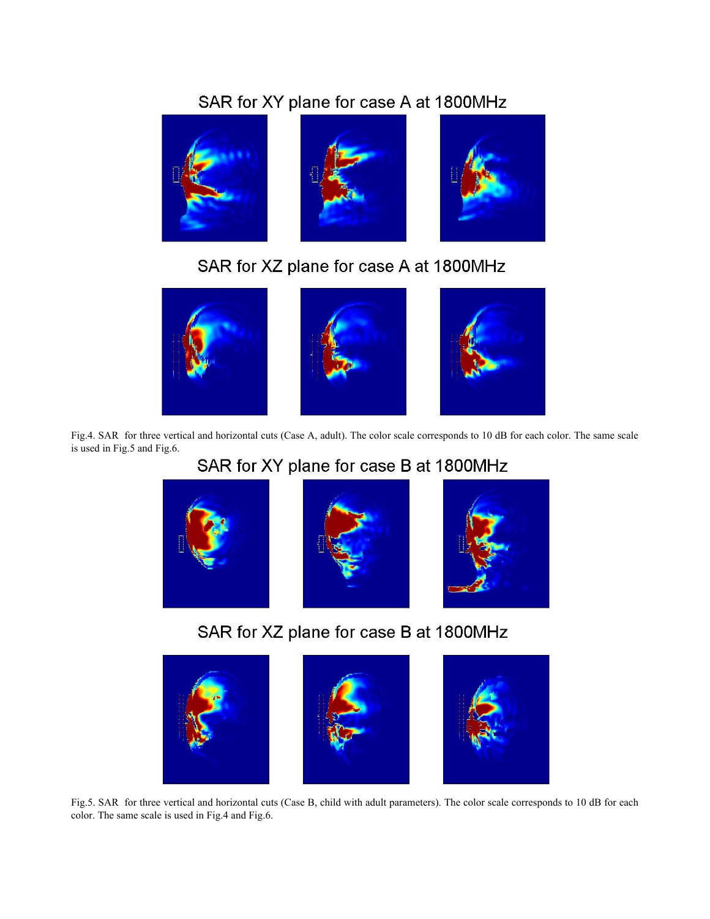# SAR for XY plane for case A at 1800MHz



SAR for XZ plane for case A at 1800MHz



Fig.4. SAR for three vertical and horizontal cuts (Case A, adult). The color scale corresponds to 10 dB for each color. The same scale is used in Fig.5 and Fig.6.

# SAR for XY plane for case B at 1800MHz



SAR for XZ plane for case B at 1800MHz



Fig.5. SAR for three vertical and horizontal cuts (Case B, child with adult parameters). The color scale corresponds to 10 dB for each color. The same scale is used in Fig.4 and Fig.6.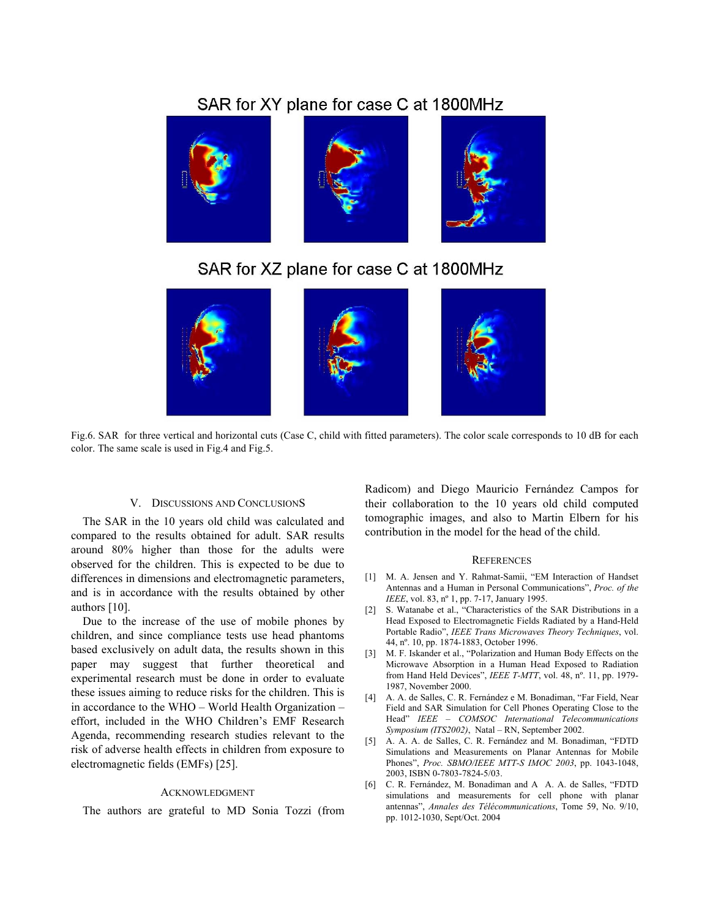## SAR for XY plane for case C at 1800MHz



## SAR for XZ plane for case C at 1800MHz



Fig.6. SAR for three vertical and horizontal cuts (Case C, child with fitted parameters). The color scale corresponds to 10 dB for each color. The same scale is used in Fig.4 and Fig.5.

### V. DISCUSSIONS AND CONCLUSIONS

The SAR in the 10 years old child was calculated and compared to the results obtained for adult. SAR results around 80% higher than those for the adults were observed for the children. This is expected to be due to differences in dimensions and electromagnetic parameters, and is in accordance with the results obtained by other authors [10].

Due to the increase of the use of mobile phones by children, and since compliance tests use head phantoms based exclusively on adult data, the results shown in this paper may suggest that further theoretical and experimental research must be done in order to evaluate these issues aiming to reduce risks for the children. This is in accordance to the WHO – World Health Organization – effort, included in the WHO Children's EMF Research Agenda, recommending research studies relevant to the risk of adverse health effects in children from exposure to electromagnetic fields (EMFs) [25].

#### ACKNOWLEDGMENT

The authors are grateful to MD Sonia Tozzi (from

Radicom) and Diego Mauricio Fernández Campos for their collaboration to the 10 years old child computed tomographic images, and also to Martin Elbern for his contribution in the model for the head of the child.

#### **REFERENCES**

- [1] M. A. Jensen and Y. Rahmat-Samii, "EM Interaction of Handset Antennas and a Human in Personal Communications", *Proc. of the IEEE*, vol. 83, nº 1, pp. 7-17, January 1995.
- [2] S. Watanabe et al., "Characteristics of the SAR Distributions in a Head Exposed to Electromagnetic Fields Radiated by a Hand-Held Portable Radio", *IEEE Trans Microwaves Theory Techniques*, vol. 44, nº. 10, pp. 1874-1883, October 1996.
- [3] M. F. Iskander et al., "Polarization and Human Body Effects on the Microwave Absorption in a Human Head Exposed to Radiation from Hand Held Devices", *IEEE T-MTT*, vol. 48, nº. 11, pp. 1979- 1987, November 2000.
- [4] A. A. de Salles, C. R. Fernández e M. Bonadiman, "Far Field, Near Field and SAR Simulation for Cell Phones Operating Close to the Head" *IEEE – COMSOC International Telecommunications Symposium (ITS2002)*, Natal – RN, September 2002.
- [5] A. A. A. de Salles, C. R. Fernández and M. Bonadiman, "FDTD Simulations and Measurements on Planar Antennas for Mobile Phones", *Proc. SBMO/IEEE MTT-S IMOC 2003*, pp. 1043-1048, 2003, ISBN 0-7803-7824-5/03.
- [6] C. R. Fernández, M. Bonadiman and A A. A. de Salles, "FDTD simulations and measurements for cell phone with planar antennas", *Annales des Télécommunications*, Tome 59, No. 9/10, pp. 1012-1030, Sept/Oct. 2004